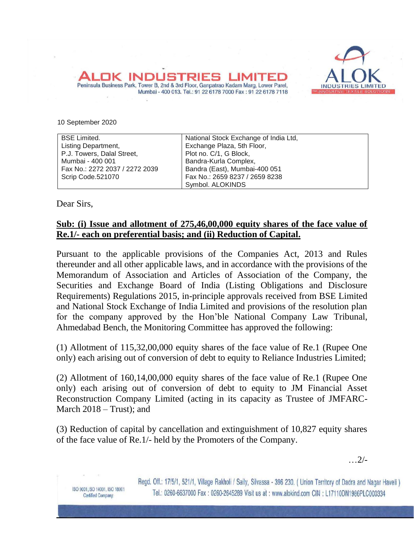

10 September 2020

| <b>BSE Limited.</b>            | National Stock Exchange of India Ltd, |
|--------------------------------|---------------------------------------|
| Listing Department,            | Exchange Plaza, 5th Floor,            |
| P.J. Towers, Dalal Street,     | Plot no. C/1, G Block,                |
| Mumbai - 400 001               | Bandra-Kurla Complex,                 |
| Fax No.: 2272 2037 / 2272 2039 | Bandra (East), Mumbai-400 051         |
| Scrip Code.521070              | Fax No.: 2659 8237 / 2659 8238        |
|                                | Symbol. ALOKINDS                      |

Mumbai - 400 013. Tel.: 91 22 6178 7000 Fax: 91 22 6178 7118

Peninsula Business Park, Tower B, 2nd & 3rd Floor, Ganpatrao Kadam Marg, Lower Parel,

Dear Sirs,

ISO 9001, ISO 14001, ISO 18001

Certified Company.

## **Sub: (i) Issue and allotment of 275,46,00,000 equity shares of the face value of Re.1/- each on preferential basis; and (ii) Reduction of Capital.**

Pursuant to the applicable provisions of the Companies Act, 2013 and Rules thereunder and all other applicable laws, and in accordance with the provisions of the Memorandum of Association and Articles of Association of the Company, the Securities and Exchange Board of India (Listing Obligations and Disclosure Requirements) Regulations 2015, in-principle approvals received from BSE Limited and National Stock Exchange of India Limited and provisions of the resolution plan for the company approved by the Hon'ble National Company Law Tribunal, Ahmedabad Bench, the Monitoring Committee has approved the following:

(1) Allotment of 115,32,00,000 equity shares of the face value of Re.1 (Rupee One only) each arising out of conversion of debt to equity to Reliance Industries Limited;

(2) Allotment of 160,14,00,000 equity shares of the face value of Re.1 (Rupee One only) each arising out of conversion of debt to equity to JM Financial Asset Reconstruction Company Limited (acting in its capacity as Trustee of JMFARC-March 2018 – Trust); and

(3) Reduction of capital by cancellation and extinguishment of 10,827 equity shares of the face value of Re.1/- held by the Promoters of the Company.

…2/-